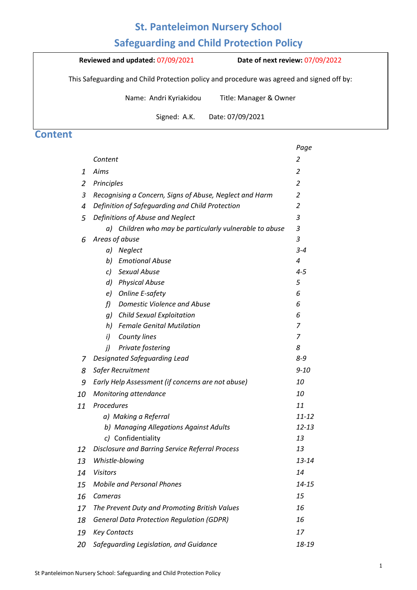## **St. Panteleimon Nursery School**

# **Safeguarding and Child Protection Policy**

**Reviewed and updated:** 07/09/2021 **Date of next review:** 07/09/2022

This Safeguarding and Child Protection policy and procedure was agreed and signed off by:

Name: Andri Kyriakidou Title: Manager & Owner

 $\alpha$  alertic and neglect and neglect and follow our procedures to ensure that children receive effective effective effective effective effective effective effective effective effective effective effective effective effect Signed: A.K. Date: 07/09/2021

## **Content**

|    |                                                                       | Page           |
|----|-----------------------------------------------------------------------|----------------|
|    | Content                                                               | 2              |
| 1  | Aims                                                                  | $\overline{2}$ |
| 2  | Principles                                                            | $\overline{2}$ |
| 3  | Recognising a Concern, Signs of Abuse, Neglect and Harm               | $\overline{c}$ |
| 4  | Definition of Safeguarding and Child Protection                       | $\overline{2}$ |
| 5  | Definitions of Abuse and Neglect                                      | 3              |
|    | a) Children who may be particularly vulnerable to abuse               | 3              |
| 6  | Areas of abuse                                                        | 3              |
|    | Neglect<br>a)                                                         | $3 - 4$        |
|    | <b>Emotional Abuse</b><br>b)                                          | 4              |
|    | <b>Sexual Abuse</b><br>c)                                             | $4 - 5$        |
|    | d)<br><b>Physical Abuse</b>                                           | 5              |
|    | <b>Online E-safety</b><br>e)                                          | 6              |
|    | f<br>Domestic Violence and Abuse                                      | 6              |
|    | g) Child Sexual Exploitation                                          | 6              |
|    | <b>Female Genital Mutilation</b><br>h)                                | 7              |
|    | i)<br><b>County lines</b>                                             | 7              |
|    | Private fostering<br>j)                                               | 8<br>8-9       |
| 7  | Designated Safeguarding Lead                                          |                |
| 8  | Safer Recruitment                                                     | $9 - 10$       |
| 9  | Early Help Assessment (if concerns are not abuse)                     | 10             |
| 10 | Monitoring attendance                                                 | 10             |
| 11 | Procedures                                                            | 11             |
|    | a) Making a Referral                                                  | $11 - 12$      |
|    | b) Managing Allegations Against Adults                                | $12 - 13$      |
|    | c) Confidentiality<br>Disclosure and Barring Service Referral Process | 13<br>13       |
| 12 |                                                                       | 13-14          |
| 13 | Whistle-blowing                                                       |                |
| 14 | <b>Visitors</b>                                                       | 14             |
| 15 | <b>Mobile and Personal Phones</b>                                     | 14-15          |
| 16 | Cameras                                                               | 15             |
| 17 | The Prevent Duty and Promoting British Values                         | 16             |
| 18 | <b>General Data Protection Regulation (GDPR)</b>                      | 16             |
| 19 | <b>Key Contacts</b>                                                   | 17             |
| 20 | Safeguarding Legislation, and Guidance                                | 18-19          |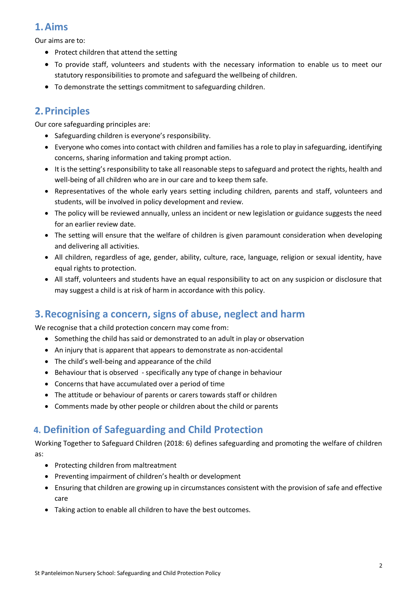# **1.Aims**

Our aims are to:

- Protect children that attend the setting
- To provide staff, volunteers and students with the necessary information to enable us to meet our statutory responsibilities to promote and safeguard the wellbeing of children.
- To demonstrate the settings commitment to safeguarding children.

# **2.Principles**

Our core safeguarding principles are:

- Safeguarding children is everyone's responsibility.
- Everyone who comes into contact with children and families has a role to play in safeguarding, identifying concerns, sharing information and taking prompt action.
- It is the setting's responsibility to take all reasonable steps to safeguard and protect the rights, health and well-being of all children who are in our care and to keep them safe.
- Representatives of the whole early years setting including children, parents and staff, volunteers and students, will be involved in policy development and review.
- The policy will be reviewed annually, unless an incident or new legislation or guidance suggests the need for an earlier review date.
- The setting will ensure that the welfare of children is given paramount consideration when developing and delivering all activities.
- All children, regardless of age, gender, ability, culture, race, language, religion or sexual identity, have equal rights to protection.
- All staff, volunteers and students have an equal responsibility to act on any suspicion or disclosure that may suggest a child is at risk of harm in accordance with this policy.

## **3.Recognising a concern, signs of abuse, neglect and harm**

We recognise that a child protection concern may come from:

- Something the child has said or demonstrated to an adult in play or observation
- An injury that is apparent that appears to demonstrate as non-accidental
- The child's well-being and appearance of the child
- Behaviour that is observed specifically any type of change in behaviour
- Concerns that have accumulated over a period of time
- The attitude or behaviour of parents or carers towards staff or children
- Comments made by other people or children about the child or parents

# **4. Definition of Safeguarding and Child Protection**

Working Together to Safeguard Children (2018: 6) defines safeguarding and promoting the welfare of children as:

- Protecting children from maltreatment
- Preventing impairment of children's health or development
- Ensuring that children are growing up in circumstances consistent with the provision of safe and effective care
- Taking action to enable all children to have the best outcomes.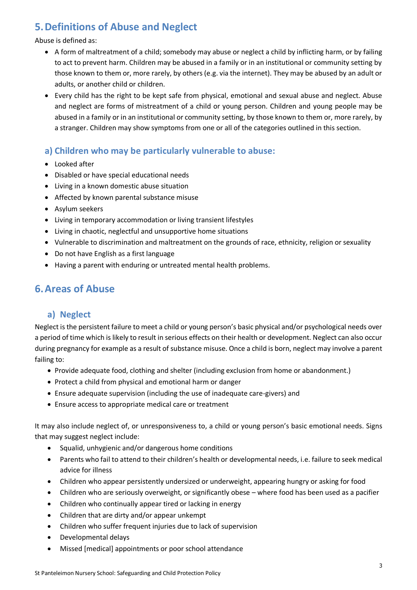# **5.Definitions of Abuse and Neglect**

#### Abuse is defined as:

- A form of maltreatment of a child; somebody may abuse or neglect a child by inflicting harm, or by failing to act to prevent harm. Children may be abused in a family or in an institutional or community setting by those known to them or, more rarely, by others (e.g. via the internet). They may be abused by an adult or adults, or another child or children.
- Every child has the right to be kept safe from physical, emotional and sexual abuse and neglect. Abuse and neglect are forms of mistreatment of a child or young person. Children and young people may be abused in a family or in an institutional or community setting, by those known to them or, more rarely, by a stranger. Children may show symptoms from one or all of the categories outlined in this section.

## **a) Children who may be particularly vulnerable to abuse:**

- Looked after
- Disabled or have special educational needs
- Living in a known domestic abuse situation
- Affected by known parental substance misuse
- Asylum seekers
- Living in temporary accommodation or living transient lifestyles
- Living in chaotic, neglectful and unsupportive home situations
- Vulnerable to discrimination and maltreatment on the grounds of race, ethnicity, religion or sexuality
- Do not have English as a first language
- Having a parent with enduring or untreated mental health problems.

# **6.Areas of Abuse**

#### **a) Neglect**

Neglect is the persistent failure to meet a child or young person's basic physical and/or psychological needs over a period of time which is likely to result in serious effects on their health or development. Neglect can also occur during pregnancy for example as a result of substance misuse. Once a child is born, neglect may involve a parent failing to:

- Provide adequate food, clothing and shelter (including exclusion from home or abandonment.)
- Protect a child from physical and emotional harm or danger
- Ensure adequate supervision (including the use of inadequate care-givers) and
- Ensure access to appropriate medical care or treatment

It may also include neglect of, or unresponsiveness to, a child or young person's basic emotional needs. Signs that may suggest neglect include:

- Squalid, unhygienic and/or dangerous home conditions
- Parents who fail to attend to their children's health or developmental needs, i.e. failure to seek medical advice for illness
- Children who appear persistently undersized or underweight, appearing hungry or asking for food
- Children who are seriously overweight, or significantly obese where food has been used as a pacifier
- Children who continually appear tired or lacking in energy
- Children that are dirty and/or appear unkempt
- Children who suffer frequent injuries due to lack of supervision
- Developmental delays
- Missed [medical] appointments or poor school attendance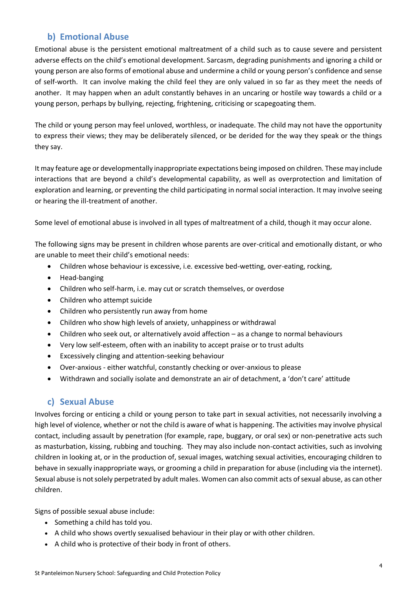## **b) Emotional Abuse**

Emotional abuse is the persistent emotional maltreatment of a child such as to cause severe and persistent adverse effects on the child's emotional development. Sarcasm, degrading punishments and ignoring a child or young person are also forms of emotional abuse and undermine a child or young person's confidence and sense of self-worth. It can involve making the child feel they are only valued in so far as they meet the needs of another. It may happen when an adult constantly behaves in an uncaring or hostile way towards a child or a young person, perhaps by bullying, rejecting, frightening, criticising or scapegoating them.

The child or young person may feel unloved, worthless, or inadequate. The child may not have the opportunity to express their views; they may be deliberately silenced, or be derided for the way they speak or the things they say.

It may feature age or developmentally inappropriate expectations being imposed on children. These may include interactions that are beyond a child's developmental capability, as well as overprotection and limitation of exploration and learning, or preventing the child participating in normal social interaction. It may involve seeing or hearing the ill-treatment of another.

Some level of emotional abuse is involved in all types of maltreatment of a child, though it may occur alone.

The following signs may be present in children whose parents are over-critical and emotionally distant, or who are unable to meet their child's emotional needs:

- Children whose behaviour is excessive, i.e. excessive bed-wetting, over-eating, rocking,
- Head-banging
- Children who self-harm, i.e. may cut or scratch themselves, or overdose
- Children who attempt suicide
- Children who persistently run away from home
- Children who show high levels of anxiety, unhappiness or withdrawal
- Children who seek out, or alternatively avoid affection as a change to normal behaviours
- Very low self-esteem, often with an inability to accept praise or to trust adults
- Excessively clinging and attention-seeking behaviour
- Over-anxious either watchful, constantly checking or over-anxious to please
- Withdrawn and socially isolate and demonstrate an air of detachment, a 'don't care' attitude

#### **c) Sexual Abuse**

Involves forcing or enticing a child or young person to take part in sexual activities, not necessarily involving a high level of violence, whether or not the child is aware of what is happening. The activities may involve physical contact, including assault by penetration (for example, rape, buggary, or oral sex) or non-penetrative acts such as masturbation, kissing, rubbing and touching. They may also include non-contact activities, such as involving children in looking at, or in the production of, sexual images, watching sexual activities, encouraging children to behave in sexually inappropriate ways, or grooming a child in preparation for abuse (including via the internet). Sexual abuse is not solely perpetrated by adult males. Women can also commit acts of sexual abuse, as can other children.

Signs of possible sexual abuse include:

- Something a child has told you.
- A child who shows overtly sexualised behaviour in their play or with other children.
- A child who is protective of their body in front of others.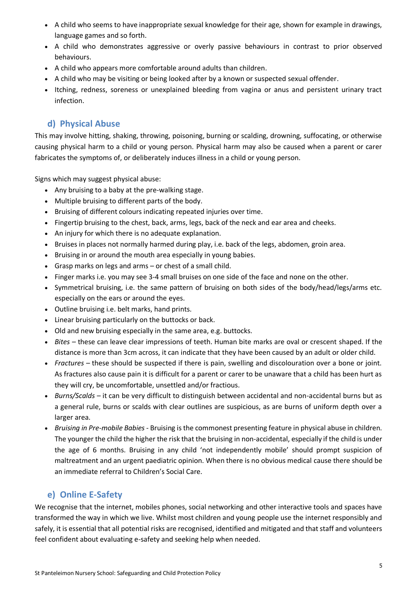- A child who seems to have inappropriate sexual knowledge for their age, shown for example in drawings, language games and so forth.
- A child who demonstrates aggressive or overly passive behaviours in contrast to prior observed behaviours.
- A child who appears more comfortable around adults than children.
- A child who may be visiting or being looked after by a known or suspected sexual offender.
- Itching, redness, soreness or unexplained bleeding from vagina or anus and persistent urinary tract infection.

## **d) Physical Abuse**

This may involve hitting, shaking, throwing, poisoning, burning or scalding, drowning, suffocating, or otherwise causing physical harm to a child or young person. Physical harm may also be caused when a parent or carer fabricates the symptoms of, or deliberately induces illness in a child or young person.

Signs which may suggest physical abuse:

- Any bruising to a baby at the pre-walking stage.
- Multiple bruising to different parts of the body.
- Bruising of different colours indicating repeated injuries over time.
- Fingertip bruising to the chest, back, arms, legs, back of the neck and ear area and cheeks.
- An injury for which there is no adequate explanation.
- Bruises in places not normally harmed during play, i.e. back of the legs, abdomen, groin area.
- Bruising in or around the mouth area especially in young babies.
- Grasp marks on legs and arms or chest of a small child.
- Finger marks i.e. you may see 3-4 small bruises on one side of the face and none on the other.
- Symmetrical bruising, i.e. the same pattern of bruising on both sides of the body/head/legs/arms etc. especially on the ears or around the eyes.
- Outline bruising i.e. belt marks, hand prints.
- Linear bruising particularly on the buttocks or back.
- Old and new bruising especially in the same area, e.g. buttocks.
- *Bites –* these can leave clear impressions of teeth. Human bite marks are oval or crescent shaped. If the distance is more than 3cm across, it can indicate that they have been caused by an adult or older child.
- *Fractures –* these should be suspected if there is pain, swelling and discolouration over a bone or joint. As fractures also cause pain it is difficult for a parent or carer to be unaware that a child has been hurt as they will cry, be uncomfortable, unsettled and/or fractious.
- *Burns/Scalds –* it can be very difficult to distinguish between accidental and non-accidental burns but as a general rule, burns or scalds with clear outlines are suspicious, as are burns of uniform depth over a larger area.
- *Bruising in Pre-mobile Babies -* Bruising is the commonest presenting feature in physical abuse in children. The younger the child the higher the risk that the bruising in non-accidental, especially if the child is under the age of 6 months. Bruising in any child 'not independently mobile' should prompt suspicion of maltreatment and an urgent paediatric opinion. When there is no obvious medical cause there should be an immediate referral to Children's Social Care.

## **e) Online E-Safety**

We recognise that the internet, mobiles phones, social networking and other interactive tools and spaces have transformed the way in which we live. Whilst most children and young people use the internet responsibly and safely, it is essential that all potential risks are recognised, identified and mitigated and that staff and volunteers feel confident about evaluating e-safety and seeking help when needed.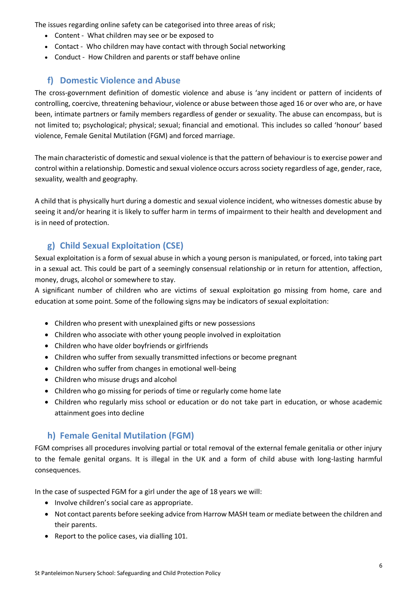The issues regarding online safety can be categorised into three areas of risk;

- Content What children may see or be exposed to
- Contact Who children may have contact with through Social networking
- Conduct How Children and parents or staff behave online

## **f) Domestic Violence and Abuse**

The cross-government definition of domestic violence and abuse is 'any incident or pattern of incidents of controlling, coercive, threatening behaviour, violence or abuse between those aged 16 or over who are, or have been, intimate partners or family members regardless of gender or sexuality. The abuse can encompass, but is not limited to; psychological; physical; sexual; financial and emotional. This includes so called 'honour' based violence, Female Genital Mutilation (FGM) and forced marriage.

The main characteristic of domestic and sexual violence is that the pattern of behaviour is to exercise power and control within a relationship. Domestic and sexual violence occurs across society regardless of age, gender, race, sexuality, wealth and geography.

A child that is physically hurt during a domestic and sexual violence incident, who witnesses domestic abuse by seeing it and/or hearing it is likely to suffer harm in terms of impairment to their health and development and is in need of protection.

## **g) Child Sexual Exploitation (CSE)**

Sexual exploitation is a form of sexual abuse in which a young person is manipulated, or forced, into taking part in a sexual act. This could be part of a seemingly consensual relationship or in return for attention, affection, money, drugs, alcohol or somewhere to stay.

A significant number of children who are victims of sexual exploitation go missing from home, care and education at some point. Some of the following signs may be indicators of sexual exploitation:

- Children who present with unexplained gifts or new possessions
- Children who associate with other young people involved in exploitation
- Children who have older boyfriends or girlfriends
- Children who suffer from sexually transmitted infections or become pregnant
- Children who suffer from changes in emotional well-being
- Children who misuse drugs and alcohol
- Children who go missing for periods of time or regularly come home late
- Children who regularly miss school or education or do not take part in education, or whose academic attainment goes into decline

#### **h) Female Genital Mutilation (FGM)**

FGM comprises all procedures involving partial or total removal of the external female genitalia or other injury to the female genital organs. It is illegal in the UK and a form of child abuse with long-lasting harmful consequences.

In the case of suspected FGM for a girl under the age of 18 years we will:

- Involve children's social care as appropriate.
- Not contact parents before seeking advice from Harrow MASH team or mediate between the children and their parents.
- Report to the police cases, via dialling 101.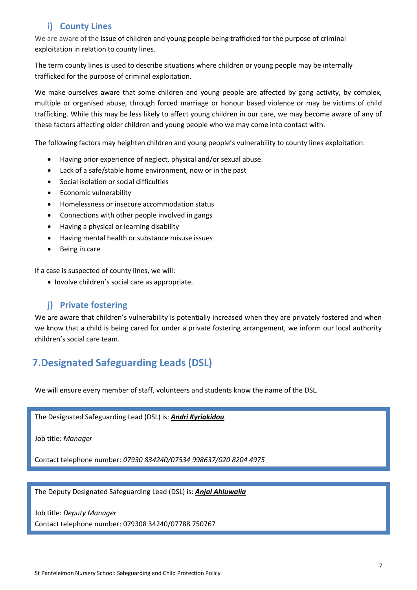## **i) County Lines**

We are aware of the issue of children and young people being trafficked for the purpose of criminal exploitation in relation to county lines.

The term county lines is used to describe situations where children or young people may be internally trafficked for the purpose of criminal exploitation.

We make ourselves aware that some children and young people are affected by gang activity, by complex, multiple or organised abuse, through forced marriage or honour based violence or may be victims of child trafficking. While this may be less likely to affect young children in our care, we may become aware of any of these factors affecting older children and young people who we may come into contact with.

The following factors may heighten children and young people's vulnerability to county lines exploitation:

- Having prior experience of neglect, physical and/or sexual abuse.
- Lack of a safe/stable home environment, now or in the past
- Social isolation or social difficulties
- Economic vulnerability
- Homelessness or insecure accommodation status
- Connections with other people involved in gangs
- Having a physical or learning disability
- Having mental health or substance misuse issues
- Being in care

If a case is suspected of county lines, we will:

• Involve children's social care as appropriate.

#### **j) Private fostering**

We are aware that children's vulnerability is potentially increased when they are privately fostered and when we know that a child is being cared for under a private fostering arrangement, we inform our local authority children's social care team.

## **7.Designated Safeguarding Leads (DSL)**

We will ensure every member of staff, volunteers and students know the name of the DSL.

The Designated Safeguarding Lead (DSL) is: *Andri Kyriakidou*

Job title: *Manager*

Contact telephone number: *07930 834240/07534 998637/020 8204 4975*

The Deputy Designated Safeguarding Lead (DSL) is: *Anjal Ahluwalia*

Job title: *Deputy Manager*

Contact telephone number: 079308 34240/07788 750767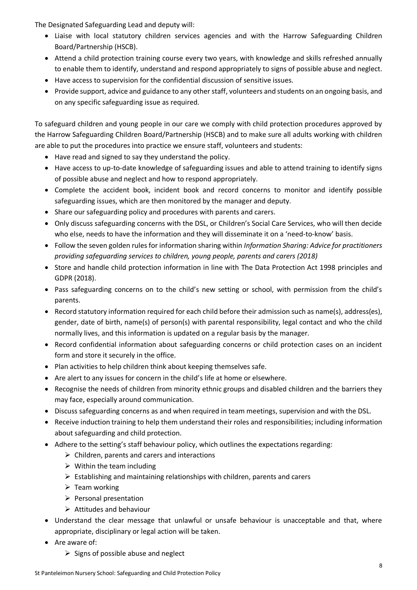The Designated Safeguarding Lead and deputy will:

- Liaise with local statutory children services agencies and with the Harrow Safeguarding Children Board/Partnership (HSCB).
- Attend a child protection training course every two years, with knowledge and skills refreshed annually to enable them to identify, understand and respond appropriately to signs of possible abuse and neglect.
- Have access to supervision for the confidential discussion of sensitive issues.
- Provide support, advice and guidance to any other staff, volunteers and students on an ongoing basis, and on any specific safeguarding issue as required.

To safeguard children and young people in our care we comply with child protection procedures approved by the Harrow Safeguarding Children Board/Partnership (HSCB) and to make sure all adults working with children are able to put the procedures into practice we ensure staff, volunteers and students:

- Have read and signed to say they understand the policy.
- Have access to up-to-date knowledge of safeguarding issues and able to attend training to identify signs of possible abuse and neglect and how to respond appropriately.
- Complete the accident book, incident book and record concerns to monitor and identify possible safeguarding issues, which are then monitored by the manager and deputy.
- Share our safeguarding policy and procedures with parents and carers.
- Only discuss safeguarding concerns with the DSL, or Children's Social Care Services, who will then decide who else, needs to have the information and they will disseminate it on a 'need-to-know' basis.
- Follow the seven golden rules for information sharing within *Information Sharing: Advice for practitioners providing safeguarding services to children, young people, parents and carers (2018)*
- Store and handle child protection information in line with The Data Protection Act 1998 principles and GDPR (2018).
- Pass safeguarding concerns on to the child's new setting or school, with permission from the child's parents.
- Record statutory information required for each child before their admission such as name(s), address(es), gender, date of birth, name(s) of person(s) with parental responsibility, legal contact and who the child normally lives, and this information is updated on a regular basis by the manager.
- Record confidential information about safeguarding concerns or child protection cases on an incident form and store it securely in the office.
- Plan activities to help children think about keeping themselves safe.
- Are alert to any issues for concern in the child's life at home or elsewhere.
- Recognise the needs of children from minority ethnic groups and disabled children and the barriers they may face, especially around communication.
- Discuss safeguarding concerns as and when required in team meetings, supervision and with the DSL.
- Receive induction training to help them understand their roles and responsibilities; including information about safeguarding and child protection.
- Adhere to the setting's staff behaviour policy, which outlines the expectations regarding:
	- $\triangleright$  Children, parents and carers and interactions
	- $\triangleright$  Within the team including
	- $\triangleright$  Establishing and maintaining relationships with children, parents and carers
	- $\triangleright$  Team working
	- ➢ Personal presentation
	- ➢ Attitudes and behaviour
- Understand the clear message that unlawful or unsafe behaviour is unacceptable and that, where appropriate, disciplinary or legal action will be taken.
- Are aware of:
	- $\triangleright$  Signs of possible abuse and neglect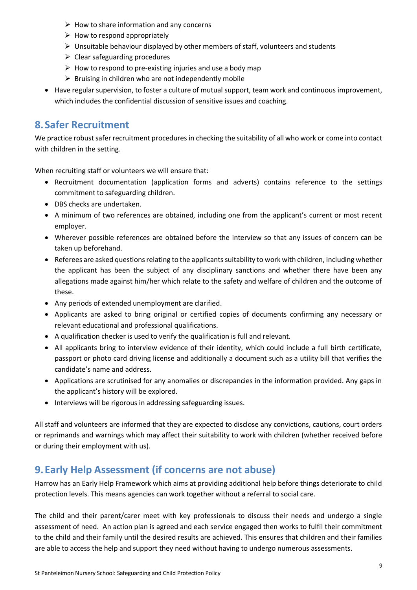- $\triangleright$  How to share information and any concerns
- $\triangleright$  How to respond appropriately
- $\triangleright$  Unsuitable behaviour displayed by other members of staff, volunteers and students
- $\triangleright$  Clear safeguarding procedures
- $\triangleright$  How to respond to pre-existing injuries and use a body map
- $\triangleright$  Bruising in children who are not independently mobile
- Have regular supervision, to foster a culture of mutual support, team work and continuous improvement, which includes the confidential discussion of sensitive issues and coaching.

## **8.Safer Recruitment**

We practice robust safer recruitment procedures in checking the suitability of all who work or come into contact with children in the setting.

When recruiting staff or volunteers we will ensure that:

- Recruitment documentation (application forms and adverts) contains reference to the settings commitment to safeguarding children.
- DBS checks are undertaken.
- A minimum of two references are obtained, including one from the applicant's current or most recent employer.
- Wherever possible references are obtained before the interview so that any issues of concern can be taken up beforehand.
- Referees are asked questions relating to the applicants suitability to work with children, including whether the applicant has been the subject of any disciplinary sanctions and whether there have been any allegations made against him/her which relate to the safety and welfare of children and the outcome of these.
- Any periods of extended unemployment are clarified.
- Applicants are asked to bring original or certified copies of documents confirming any necessary or relevant educational and professional qualifications.
- A qualification checker is used to verify the qualification is full and relevant.
- All applicants bring to interview evidence of their identity, which could include a full birth certificate, passport or photo card driving license and additionally a document such as a utility bill that verifies the candidate's name and address.
- Applications are scrutinised for any anomalies or discrepancies in the information provided. Any gaps in the applicant's history will be explored.
- Interviews will be rigorous in addressing safeguarding issues.

All staff and volunteers are informed that they are expected to disclose any convictions, cautions, court orders or reprimands and warnings which may affect their suitability to work with children (whether received before or during their employment with us).

## **9.Early Help Assessment (if concerns are not abuse)**

Harrow has an Early Help Framework which aims at providing additional help before things deteriorate to child protection levels. This means agencies can work together without a referral to social care.

The child and their parent/carer meet with key professionals to discuss their needs and undergo a single assessment of need. An action plan is agreed and each service engaged then works to fulfil their commitment to the child and their family until the desired results are achieved. This ensures that children and their families are able to access the help and support they need without having to undergo numerous assessments.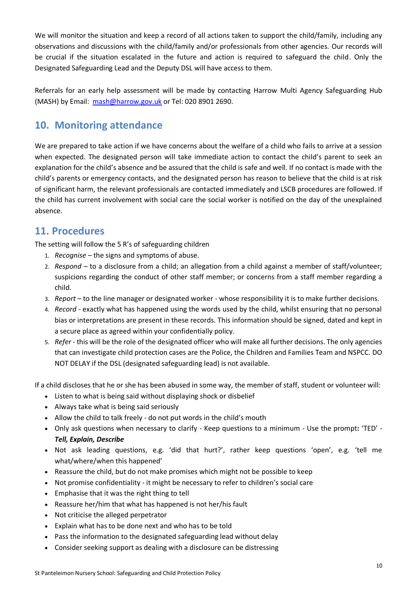We will monitor the situation and keep a record of all actions taken to support the child/family, including any observations and discussions with the child/family and/or professionals from other agencies. Our records will be crucial if the situation escalated in the future and action is required to safeguard the child. Only the Designated Safeguarding Lead and the Deputy DSL will have access to them.

Referrals for an early help assessment will be made by contacting Harrow Multi Agency Safeguarding Hub (MASH) by Email: [mash@harrow.gov.uk](mailto:mash@harrow.gov.uk) or Tel: 020 8901 2690.

# **10. Monitoring attendance**

We are prepared to take action if we have concerns about the welfare of a child who fails to arrive at a session when expected. The designated person will take immediate action to contact the child's parent to seek an explanation for the child's absence and be assured that the child is safe and well. If no contact is made with the child's parents or emergency contacts, and the designated person has reason to believe that the child is at risk of significant harm, the relevant professionals are contacted immediately and LSCB procedures are followed. If the child has current involvement with social care the social worker is notified on the day of the unexplained absence.

## **11. Procedures**

The setting will follow the 5 R's of safeguarding children

- 1. *Recognise –* the signs and symptoms of abuse.
- 2. *Respond –* to a disclosure from a child; an allegation from a child against a member of staff/volunteer; suspicions regarding the conduct of other staff member; or concerns from a staff member regarding a child.
- 3. *Report –* to the line manager or designated worker whose responsibility it is to make further decisions.
- 4. *Record -* exactly what has happened using the words used by the child, whilst ensuring that no personal bias or interpretations are present in these records. This information should be signed, dated and kept in a secure place as agreed within your confidentially policy.
- 5. *Refer -* this will be the role of the designated officer who will make all further decisions. The only agencies that can investigate child protection cases are the Police, the Children and Families Team and NSPCC. DO NOT DELAY if the DSL (designated safeguarding lead) is not available.

If a child discloses that he or she has been abused in some way, the member of staff, student or volunteer will:

- Listen to what is being said without displaying shock or disbelief
- Always take what is being said seriously
- Allow the child to talk freely do not put words in the child's mouth
- Only ask questions when necessary to clarify Keep questions to a minimum Use the prompt**:** 'TED' *Tell, Explain, Describe*
- Not ask leading questions, e.g. 'did that hurt?', rather keep questions 'open', e.g. 'tell me what/where/when this happened'
- Reassure the child, but do not make promises which might not be possible to keep
- Not promise confidentiality it might be necessary to refer to children's social care
- Emphasise that it was the right thing to tell
- Reassure her/him that what has happened is not her/his fault
- Not criticise the alleged perpetrator
- Explain what has to be done next and who has to be told
- Pass the information to the designated safeguarding lead without delay
- Consider seeking support as dealing with a disclosure can be distressing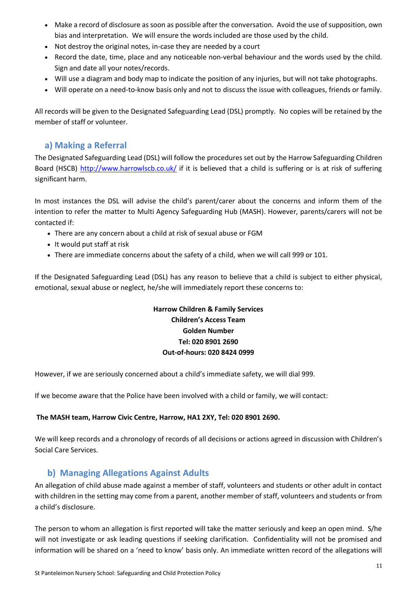- Make a record of disclosure as soon as possible after the conversation. Avoid the use of supposition, own bias and interpretation. We will ensure the words included are those used by the child.
- Not destroy the original notes, in-case they are needed by a court
- Record the date, time, place and any noticeable non-verbal behaviour and the words used by the child. Sign and date all your notes/records.
- Will use a diagram and body map to indicate the position of any injuries, but will not take photographs.
- Will operate on a need-to-know basis only and not to discuss the issue with colleagues, friends or family.

All records will be given to the Designated Safeguarding Lead (DSL) promptly. No copies will be retained by the member of staff or volunteer.

#### **a) Making a Referral**

The Designated Safeguarding Lead (DSL) will follow the procedures set out by the Harrow Safeguarding Children Board (HSCB) <http://www.harrowlscb.co.uk/> if it is believed that a child is suffering or is at risk of suffering significant harm.

In most instances the DSL will advise the child's parent/carer about the concerns and inform them of the intention to refer the matter to Multi Agency Safeguarding Hub (MASH). However, parents/carers will not be contacted if:

- There are any concern about a child at risk of sexual abuse or FGM
- It would put staff at risk
- There are immediate concerns about the safety of a child, when we will call 999 or 101.

If the Designated Safeguarding Lead (DSL) has any reason to believe that a child is subject to either physical, emotional, sexual abuse or neglect, he/she will immediately report these concerns to:

#### **Harrow Children & Family Services Children's Access Team Golden Number Tel: 020 8901 2690 Out-of-hours: 020 8424 0999**

However, if we are seriously concerned about a child's immediate safety, we will dial 999.

If we become aware that the Police have been involved with a child or family, we will contact:

#### **The MASH team, Harrow Civic Centre, Harrow, HA1 2XY, Tel: 020 8901 2690.**

We will keep records and a chronology of records of all decisions or actions agreed in discussion with Children's Social Care Services.

## **b) Managing Allegations Against Adults**

An allegation of child abuse made against a member of staff, volunteers and students or other adult in contact with children in the setting may come from a parent, another member of staff, volunteers and students or from a child's disclosure.

The person to whom an allegation is first reported will take the matter seriously and keep an open mind. S/he will not investigate or ask leading questions if seeking clarification. Confidentiality will not be promised and information will be shared on a 'need to know' basis only. An immediate written record of the allegations will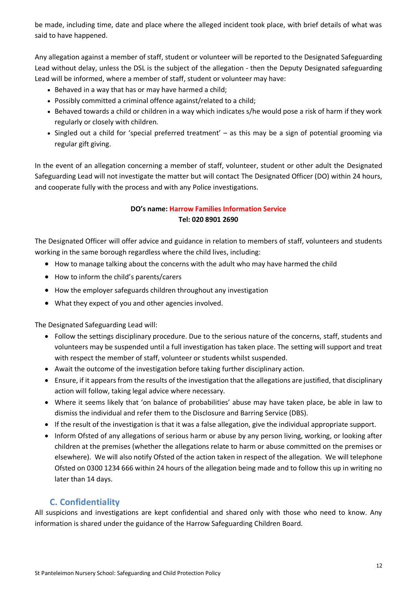be made, including time, date and place where the alleged incident took place, with brief details of what was said to have happened.

Any allegation against a member of staff, student or volunteer will be reported to the Designated Safeguarding Lead without delay, unless the DSL is the subject of the allegation - then the Deputy Designated safeguarding Lead will be informed, where a member of staff, student or volunteer may have:

- Behaved in a way that has or may have harmed a child;
- Possibly committed a criminal offence against/related to a child;
- Behaved towards a child or children in a way which indicates s/he would pose a risk of harm if they work regularly or closely with children.
- Singled out a child for 'special preferred treatment' as this may be a sign of potential grooming via regular gift giving.

In the event of an allegation concerning a member of staff, volunteer, student or other adult the Designated Safeguarding Lead will not investigate the matter but will contact The Designated Officer (DO) within 24 hours, and cooperate fully with the process and with any Police investigations.

#### **DO's name: Harrow Families Information Service Tel: 020 8901 2690**

The Designated Officer will offer advice and guidance in relation to members of staff, volunteers and students working in the same borough regardless where the child lives, including:

- How to manage talking about the concerns with the adult who may have harmed the child
- How to inform the child's parents/carers
- How the employer safeguards children throughout any investigation
- What they expect of you and other agencies involved.

The Designated Safeguarding Lead will:

- Follow the settings disciplinary procedure. Due to the serious nature of the concerns, staff, students and volunteers may be suspended until a full investigation has taken place. The setting will support and treat with respect the member of staff, volunteer or students whilst suspended.
- Await the outcome of the investigation before taking further disciplinary action.
- Ensure, if it appears from the results of the investigation that the allegations are justified, that disciplinary action will follow, taking legal advice where necessary.
- Where it seems likely that 'on balance of probabilities' abuse may have taken place, be able in law to dismiss the individual and refer them to the Disclosure and Barring Service (DBS).
- If the result of the investigation is that it was a false allegation, give the individual appropriate support.
- Inform Ofsted of any allegations of serious harm or abuse by any person living, working, or looking after children at the premises (whether the allegations relate to harm or abuse committed on the premises or elsewhere). We will also notify Ofsted of the action taken in respect of the allegation. We will telephone Ofsted on 0300 1234 666 within 24 hours of the allegation being made and to follow this up in writing no later than 14 days.

#### **C. Confidentiality**

All suspicions and investigations are kept confidential and shared only with those who need to know. Any information is shared under the guidance of the Harrow Safeguarding Children Board.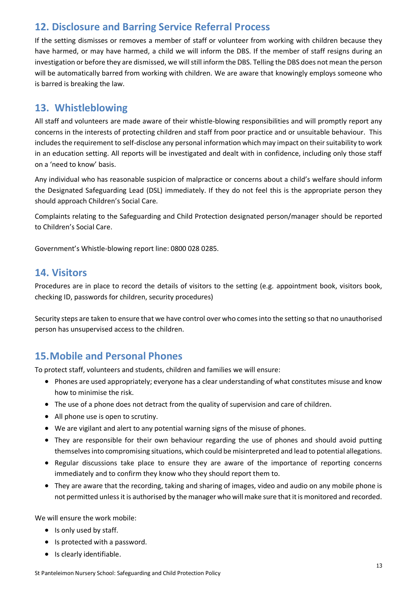# **12. Disclosure and Barring Service Referral Process**

If the setting dismisses or removes a member of staff or volunteer from working with children because they have harmed, or may have harmed, a child we will inform the DBS. If the member of staff resigns during an investigation or before they are dismissed, we willstill inform the DBS. Telling the DBS does not mean the person will be automatically barred from working with children. We are aware that knowingly employs someone who is barred is breaking the law.

## **13. Whistleblowing**

All staff and volunteers are made aware of their whistle-blowing responsibilities and will promptly report any concerns in the interests of protecting children and staff from poor practice and or unsuitable behaviour. This includes the requirement to self-disclose any personal information which may impact on their suitability to work in an education setting. All reports will be investigated and dealt with in confidence, including only those staff on a 'need to know' basis.

Any individual who has reasonable suspicion of malpractice or concerns about a child's welfare should inform the Designated Safeguarding Lead (DSL) immediately. If they do not feel this is the appropriate person they should approach Children's Social Care.

Complaints relating to the Safeguarding and Child Protection designated person/manager should be reported to Children's Social Care.

Government's Whistle-blowing report line: 0800 028 0285.

## **14. Visitors**

Procedures are in place to record the details of visitors to the setting (e.g. appointment book, visitors book, checking ID, passwords for children, security procedures)

Security steps are taken to ensure that we have control over who comes into the setting so that no unauthorised person has unsupervised access to the children.

## **15.Mobile and Personal Phones**

To protect staff, volunteers and students, children and families we will ensure:

- Phones are used appropriately; everyone has a clear understanding of what constitutes misuse and know how to minimise the risk.
- The use of a phone does not detract from the quality of supervision and care of children.
- All phone use is open to scrutiny.
- We are vigilant and alert to any potential warning signs of the misuse of phones.
- They are responsible for their own behaviour regarding the use of phones and should avoid putting themselves into compromising situations, which could be misinterpreted and lead to potential allegations.
- Regular discussions take place to ensure they are aware of the importance of reporting concerns immediately and to confirm they know who they should report them to.
- They are aware that the recording, taking and sharing of images, video and audio on any mobile phone is not permitted unless it is authorised by the manager who will make sure that it is monitored and recorded.

We will ensure the work mobile:

- Is only used by staff.
- Is protected with a password.
- Is clearly identifiable.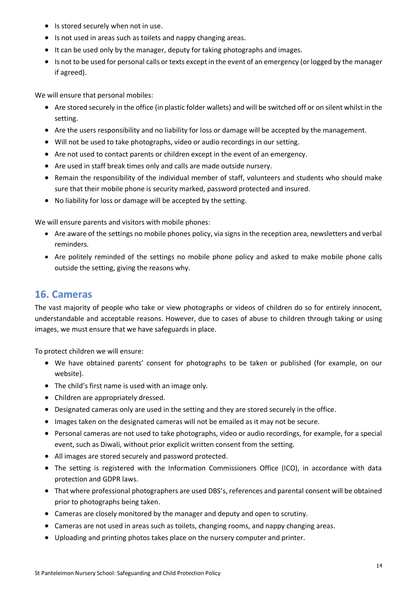- Is stored securely when not in use.
- Is not used in areas such as toilets and nappy changing areas.
- It can be used only by the manager, deputy for taking photographs and images.
- Is not to be used for personal calls or texts except in the event of an emergency (or logged by the manager if agreed).

We will ensure that personal mobiles:

- Are stored securely in the office (in plastic folder wallets) and will be switched off or on silent whilst in the setting.
- Are the users responsibility and no liability for loss or damage will be accepted by the management.
- Will not be used to take photographs, video or audio recordings in our setting.
- Are not used to contact parents or children except in the event of an emergency.
- Are used in staff break times only and calls are made outside nursery.
- Remain the responsibility of the individual member of staff, volunteers and students who should make sure that their mobile phone is security marked, password protected and insured.
- No liability for loss or damage will be accepted by the setting.

We will ensure parents and visitors with mobile phones:

- Are aware of the settings no mobile phones policy, via signs in the reception area, newsletters and verbal reminders.
- Are politely reminded of the settings no mobile phone policy and asked to make mobile phone calls outside the setting, giving the reasons why.

## **16. Cameras**

The vast majority of people who take or view photographs or videos of children do so for entirely innocent, understandable and acceptable reasons. However, due to cases of abuse to children through taking or using images, we must ensure that we have safeguards in place.

To protect children we will ensure:

- We have obtained parents' consent for photographs to be taken or published (for example, on our website).
- The child's first name is used with an image only.
- Children are appropriately dressed.
- Designated cameras only are used in the setting and they are stored securely in the office.
- Images taken on the designated cameras will not be emailed as it may not be secure.
- Personal cameras are not used to take photographs, video or audio recordings, for example, for a special event, such as Diwali, without prior explicit written consent from the setting.
- All images are stored securely and password protected.
- The setting is registered with the Information Commissioners Office (ICO), in accordance with data protection and GDPR laws.
- That where professional photographers are used DBS's, references and parental consent will be obtained prior to photographs being taken.
- Cameras are closely monitored by the manager and deputy and open to scrutiny.
- Cameras are not used in areas such as toilets, changing rooms, and nappy changing areas.
- Uploading and printing photos takes place on the nursery computer and printer.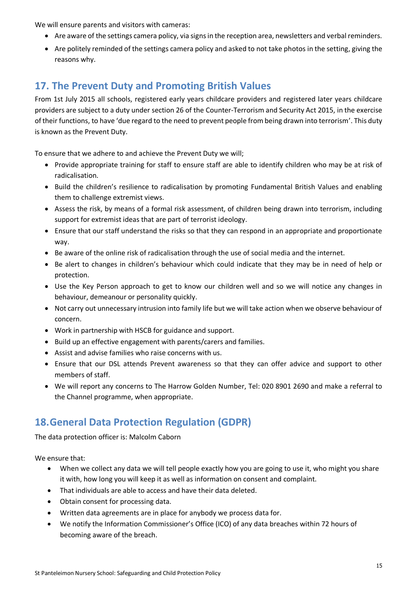We will ensure parents and visitors with cameras:

- Are aware of the settings camera policy, via signs in the reception area, newsletters and verbal reminders.
- Are politely reminded of the settings camera policy and asked to not take photos in the setting, giving the reasons why.

## **17. The Prevent Duty and Promoting British Values**

From 1st July 2015 all schools, registered early years childcare providers and registered later years childcare providers are subject to a duty under section 26 of the Counter-Terrorism and Security Act 2015, in the exercise of their functions, to have 'due regard to the need to prevent people from being drawn into terrorism'. This duty is known as the Prevent Duty.

To ensure that we adhere to and achieve the Prevent Duty we will;

- Provide appropriate training for staff to ensure staff are able to identify children who may be at risk of radicalisation.
- Build the children's resilience to radicalisation by promoting Fundamental British Values and enabling them to challenge extremist views.
- Assess the risk, by means of a formal risk assessment, of children being drawn into terrorism, including support for extremist ideas that are part of terrorist ideology.
- Ensure that our staff understand the risks so that they can respond in an appropriate and proportionate way.
- Be aware of the online risk of radicalisation through the use of social media and the internet.
- Be alert to changes in children's behaviour which could indicate that they may be in need of help or protection.
- Use the Key Person approach to get to know our children well and so we will notice any changes in behaviour, demeanour or personality quickly.
- Not carry out unnecessary intrusion into family life but we will take action when we observe behaviour of concern.
- Work in partnership with HSCB for guidance and support.
- Build up an effective engagement with parents/carers and families.
- Assist and advise families who raise concerns with us.
- Ensure that our DSL attends Prevent awareness so that they can offer advice and support to other members of staff.
- We will report any concerns to The Harrow Golden Number, Tel: 020 8901 2690 and make a referral to the Channel programme, when appropriate.

## **18.General Data Protection Regulation (GDPR)**

The data protection officer is: Malcolm Caborn

We ensure that:

- When we collect any data we will tell people exactly how you are going to use it, who might you share it with, how long you will keep it as well as information on consent and complaint.
- That individuals are able to access and have their data deleted.
- Obtain consent for processing data.
- Written data agreements are in place for anybody we process data for.
- We notify the Information Commissioner's Office (ICO) of any data breaches within 72 hours of becoming aware of the breach.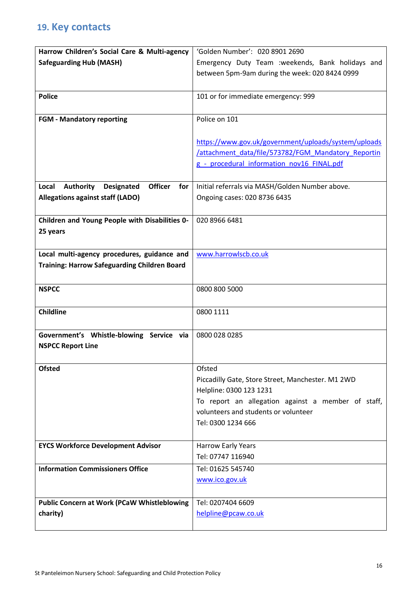# **19. Key contacts**

| Harrow Children's Social Care & Multi-agency                            | 'Golden Number': 020 8901 2690                                                             |
|-------------------------------------------------------------------------|--------------------------------------------------------------------------------------------|
| <b>Safeguarding Hub (MASH)</b>                                          | Emergency Duty Team :weekends, Bank holidays and                                           |
|                                                                         | between 5pm-9am during the week: 020 8424 0999                                             |
|                                                                         |                                                                                            |
| <b>Police</b>                                                           | 101 or for immediate emergency: 999                                                        |
|                                                                         |                                                                                            |
| <b>FGM - Mandatory reporting</b>                                        | Police on 101                                                                              |
|                                                                         |                                                                                            |
|                                                                         | https://www.gov.uk/government/uploads/system/uploads                                       |
|                                                                         | /attachment data/file/573782/FGM Mandatory Reportin                                        |
|                                                                         | g - procedural information nov16 FINAL.pdf                                                 |
|                                                                         |                                                                                            |
| <b>Authority</b><br><b>Officer</b><br>Local<br><b>Designated</b><br>for | Initial referrals via MASH/Golden Number above.                                            |
| <b>Allegations against staff (LADO)</b>                                 | Ongoing cases: 020 8736 6435                                                               |
|                                                                         |                                                                                            |
| Children and Young People with Disabilities 0-                          | 020 8966 6481                                                                              |
| 25 years                                                                |                                                                                            |
|                                                                         |                                                                                            |
| Local multi-agency procedures, guidance and                             | www.harrowlscb.co.uk                                                                       |
| <b>Training: Harrow Safeguarding Children Board</b>                     |                                                                                            |
|                                                                         |                                                                                            |
| <b>NSPCC</b>                                                            | 0800 800 5000                                                                              |
|                                                                         |                                                                                            |
| <b>Childline</b>                                                        | 0800 1111                                                                                  |
|                                                                         |                                                                                            |
| Government's Whistle-blowing Service via                                | 0800 028 0285                                                                              |
| <b>NSPCC Report Line</b>                                                |                                                                                            |
|                                                                         |                                                                                            |
| <b>Ofsted</b>                                                           | Ofsted                                                                                     |
|                                                                         | Piccadilly Gate, Store Street, Manchester. M1 2WD                                          |
|                                                                         | Helpline: 0300 123 1231                                                                    |
|                                                                         | To report an allegation against a member of staff,<br>volunteers and students or volunteer |
|                                                                         | Tel: 0300 1234 666                                                                         |
|                                                                         |                                                                                            |
| <b>EYCS Workforce Development Advisor</b>                               | Harrow Early Years                                                                         |
|                                                                         | Tel: 07747 116940                                                                          |
| <b>Information Commissioners Office</b>                                 | Tel: 01625 545740                                                                          |
|                                                                         | www.ico.gov.uk                                                                             |
|                                                                         |                                                                                            |
| <b>Public Concern at Work (PCaW Whistleblowing</b>                      | Tel: 0207404 6609                                                                          |
| charity)                                                                | helpline@pcaw.co.uk                                                                        |
|                                                                         |                                                                                            |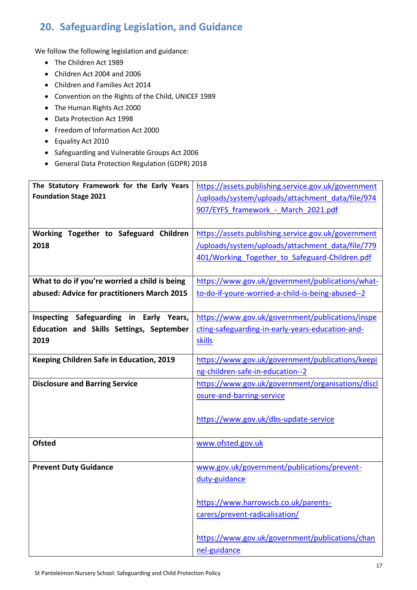# **20. Safeguarding Legislation, and Guidance**

We follow the following legislation and guidance:

- The Children Act 1989
- Children Act 2004 and 2006
- Children and Families Act 2014
- Convention on the Rights of the Child, UNICEF 1989
- The Human Rights Act 2000
- Data Protection Act 1998
- Freedom of Information Act 2000
- Equality Act 2010
- Safeguarding and Vulnerable Groups Act 2006
- General Data Protection Regulation (GDPR) 2018

| The Statutory Framework for the Early Years   | https://assets.publishing.service.gov.uk/government |
|-----------------------------------------------|-----------------------------------------------------|
| <b>Foundation Stage 2021</b>                  | /uploads/system/uploads/attachment_data/file/974    |
|                                               |                                                     |
|                                               | 907/EYFS framework - March 2021.pdf                 |
|                                               |                                                     |
| Working Together to Safeguard Children        | https://assets.publishing.service.gov.uk/government |
| 2018                                          | /uploads/system/uploads/attachment data/file/779    |
|                                               | 401/Working Together to Safeguard-Children.pdf      |
|                                               |                                                     |
|                                               |                                                     |
| What to do if you're worried a child is being | https://www.gov.uk/government/publications/what-    |
| abused: Advice for practitioners March 2015   | to-do-if-youre-worried-a-child-is-being-abused--2   |
|                                               |                                                     |
| Inspecting Safeguarding in Early Years,       | https://www.gov.uk/government/publications/inspe    |
| Education and Skills Settings, September      | cting-safeguarding-in-early-years-education-and-    |
| 2019                                          | skills                                              |
|                                               |                                                     |
| Keeping Children Safe in Education, 2019      | https://www.gov.uk/government/publications/keepi    |
|                                               | ng-children-safe-in-education--2                    |
| <b>Disclosure and Barring Service</b>         | https://www.gov.uk/government/organisations/discl   |
|                                               | osure-and-barring-service                           |
|                                               |                                                     |
|                                               |                                                     |
|                                               | https://www.gov.uk/dbs-update-service               |
|                                               |                                                     |
| <b>Ofsted</b>                                 | www.ofsted.gov.uk                                   |
|                                               |                                                     |
| <b>Prevent Duty Guidance</b>                  | www.gov.uk/government/publications/prevent-         |
|                                               | duty-guidance                                       |
|                                               |                                                     |
|                                               | https://www.harrowscb.co.uk/parents-                |
|                                               |                                                     |
|                                               | carers/prevent-radicalisation/                      |
|                                               | https://www.gov.uk/government/publications/chan     |
|                                               | nel-guidance                                        |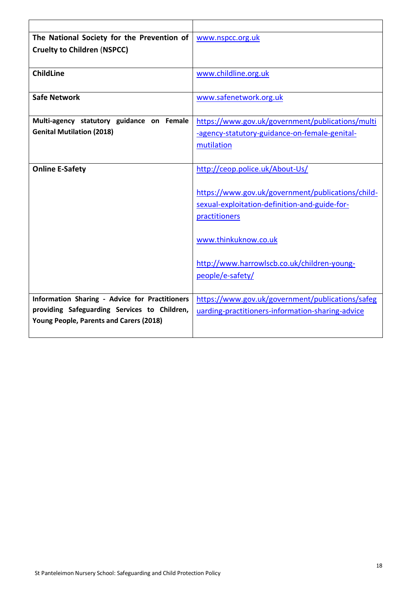| The National Society for the Prevention of     | www.nspcc.org.uk                                  |
|------------------------------------------------|---------------------------------------------------|
| <b>Cruelty to Children (NSPCC)</b>             |                                                   |
|                                                |                                                   |
| <b>ChildLine</b>                               | www.childline.org.uk                              |
|                                                |                                                   |
| <b>Safe Network</b>                            | www.safenetwork.org.uk                            |
|                                                |                                                   |
| Multi-agency statutory guidance on Female      | https://www.gov.uk/government/publications/multi  |
| <b>Genital Mutilation (2018)</b>               | -agency-statutory-guidance-on-female-genital-     |
|                                                | mutilation                                        |
|                                                |                                                   |
| <b>Online E-Safety</b>                         | http://ceop.police.uk/About-Us/                   |
|                                                |                                                   |
|                                                | https://www.gov.uk/government/publications/child- |
|                                                | sexual-exploitation-definition-and-guide-for-     |
|                                                | practitioners                                     |
|                                                |                                                   |
|                                                | www.thinkuknow.co.uk                              |
|                                                |                                                   |
|                                                | http://www.harrowlscb.co.uk/children-young-       |
|                                                | people/e-safety/                                  |
|                                                |                                                   |
| Information Sharing - Advice for Practitioners | https://www.gov.uk/government/publications/safeg  |
| providing Safeguarding Services to Children,   | uarding-practitioners-information-sharing-advice  |
| Young People, Parents and Carers (2018)        |                                                   |
|                                                |                                                   |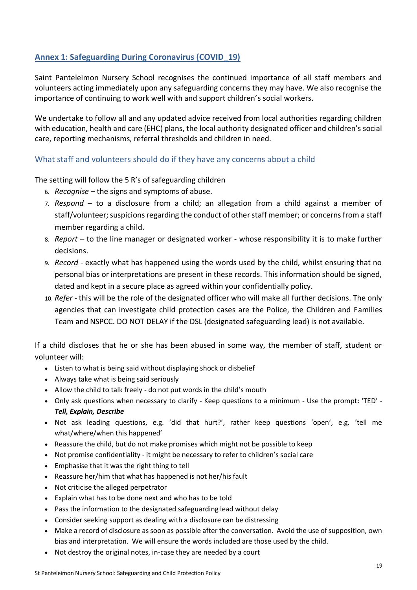## **Annex 1: Safeguarding During Coronavirus (COVID\_19)**

Saint Panteleimon Nursery School recognises the continued importance of all staff members and volunteers acting immediately upon any safeguarding concerns they may have. We also recognise the importance of continuing to work well with and support children's social workers.

We undertake to follow all and any updated advice received from local authorities regarding children with education, health and care (EHC) plans, the local authority designated officer and children's social care, reporting mechanisms, referral thresholds and children in need.

#### What staff and volunteers should do if they have any concerns about a child

The setting will follow the 5 R's of safeguarding children

- 6. *Recognise –* the signs and symptoms of abuse.
- 7. *Respond –* to a disclosure from a child; an allegation from a child against a member of staff/volunteer; suspicions regarding the conduct of other staff member; or concerns from a staff member regarding a child.
- 8. *Report –* to the line manager or designated worker whose responsibility it is to make further decisions.
- 9. *Record -* exactly what has happened using the words used by the child, whilst ensuring that no personal bias or interpretations are present in these records. This information should be signed, dated and kept in a secure place as agreed within your confidentially policy.
- 10. *Refer -* this will be the role of the designated officer who will make all further decisions. The only agencies that can investigate child protection cases are the Police, the Children and Families Team and NSPCC. DO NOT DELAY if the DSL (designated safeguarding lead) is not available.

If a child discloses that he or she has been abused in some way, the member of staff, student or volunteer will:

- Listen to what is being said without displaying shock or disbelief
- Always take what is being said seriously
- Allow the child to talk freely do not put words in the child's mouth
- Only ask questions when necessary to clarify Keep questions to a minimum Use the prompt**:** 'TED' *Tell, Explain, Describe*
- Not ask leading questions, e.g. 'did that hurt?', rather keep questions 'open', e.g. 'tell me what/where/when this happened'
- Reassure the child, but do not make promises which might not be possible to keep
- Not promise confidentiality it might be necessary to refer to children's social care
- Emphasise that it was the right thing to tell
- Reassure her/him that what has happened is not her/his fault
- Not criticise the alleged perpetrator
- Explain what has to be done next and who has to be told
- Pass the information to the designated safeguarding lead without delay
- Consider seeking support as dealing with a disclosure can be distressing
- Make a record of disclosure as soon as possible after the conversation. Avoid the use of supposition, own bias and interpretation. We will ensure the words included are those used by the child.
- Not destroy the original notes, in-case they are needed by a court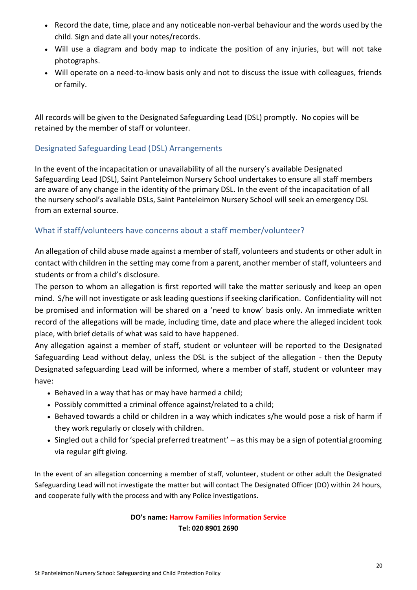- Record the date, time, place and any noticeable non-verbal behaviour and the words used by the child. Sign and date all your notes/records.
- Will use a diagram and body map to indicate the position of any injuries, but will not take photographs.
- Will operate on a need-to-know basis only and not to discuss the issue with colleagues, friends or family.

All records will be given to the Designated Safeguarding Lead (DSL) promptly. No copies will be retained by the member of staff or volunteer.

#### Designated Safeguarding Lead (DSL) Arrangements

In the event of the incapacitation or unavailability of all the nursery's available Designated Safeguarding Lead (DSL), Saint Panteleimon Nursery School undertakes to ensure all staff members are aware of any change in the identity of the primary DSL. In the event of the incapacitation of all the nursery school's available DSLs, Saint Panteleimon Nursery School will seek an emergency DSL from an external source.

## What if staff/volunteers have concerns about a staff member/volunteer?

An allegation of child abuse made against a member of staff, volunteers and students or other adult in contact with children in the setting may come from a parent, another member of staff, volunteers and students or from a child's disclosure.

The person to whom an allegation is first reported will take the matter seriously and keep an open mind. S/he will not investigate or ask leading questions if seeking clarification. Confidentiality will not be promised and information will be shared on a 'need to know' basis only. An immediate written record of the allegations will be made, including time, date and place where the alleged incident took place, with brief details of what was said to have happened.

Any allegation against a member of staff, student or volunteer will be reported to the Designated Safeguarding Lead without delay, unless the DSL is the subject of the allegation - then the Deputy Designated safeguarding Lead will be informed, where a member of staff, student or volunteer may have:

- Behaved in a way that has or may have harmed a child;
- Possibly committed a criminal offence against/related to a child;
- Behaved towards a child or children in a way which indicates s/he would pose a risk of harm if they work regularly or closely with children.
- Singled out a child for 'special preferred treatment' as this may be a sign of potential grooming via regular gift giving.

In the event of an allegation concerning a member of staff, volunteer, student or other adult the Designated Safeguarding Lead will not investigate the matter but will contact The Designated Officer (DO) within 24 hours, and cooperate fully with the process and with any Police investigations.

#### **DO's name: Harrow Families Information Service Tel: 020 8901 2690**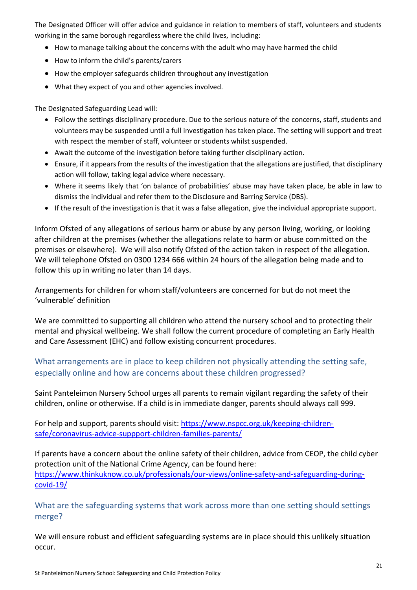The Designated Officer will offer advice and guidance in relation to members of staff, volunteers and students working in the same borough regardless where the child lives, including:

- How to manage talking about the concerns with the adult who may have harmed the child
- How to inform the child's parents/carers
- How the employer safeguards children throughout any investigation
- What they expect of you and other agencies involved.

The Designated Safeguarding Lead will:

- Follow the settings disciplinary procedure. Due to the serious nature of the concerns, staff, students and volunteers may be suspended until a full investigation has taken place. The setting will support and treat with respect the member of staff, volunteer or students whilst suspended.
- Await the outcome of the investigation before taking further disciplinary action.
- Ensure, if it appears from the results of the investigation that the allegations are justified, that disciplinary action will follow, taking legal advice where necessary.
- Where it seems likely that 'on balance of probabilities' abuse may have taken place, be able in law to dismiss the individual and refer them to the Disclosure and Barring Service (DBS).
- If the result of the investigation is that it was a false allegation, give the individual appropriate support.

Inform Ofsted of any allegations of serious harm or abuse by any person living, working, or looking after children at the premises (whether the allegations relate to harm or abuse committed on the premises or elsewhere). We will also notify Ofsted of the action taken in respect of the allegation. We will telephone Ofsted on 0300 1234 666 within 24 hours of the allegation being made and to follow this up in writing no later than 14 days.

Arrangements for children for whom staff/volunteers are concerned for but do not meet the 'vulnerable' definition

We are committed to supporting all children who attend the nursery school and to protecting their mental and physical wellbeing. We shall follow the current procedure of completing an Early Health and Care Assessment (EHC) and follow existing concurrent procedures.

#### What arrangements are in place to keep children not physically attending the setting safe, especially online and how are concerns about these children progressed?

Saint Panteleimon Nursery School urges all parents to remain vigilant regarding the safety of their children, online or otherwise. If a child is in immediate danger, parents should always call 999.

For help and support, parents should visit: https://www.nspcc.org.uk/keeping-childrensafe/coronavirus-advice-suppport-children-families-parents/

If parents have a concern about the online safety of their children, advice from CEOP, the child cyber protection unit of the National Crime Agency, can be found here: https://www.thinkuknow.co.uk/professionals/our-views/online-safety-and-safeguarding-duringcovid-19/

What are the safeguarding systems that work across more than one setting should settings merge?

We will ensure robust and efficient safeguarding systems are in place should this unlikely situation occur.